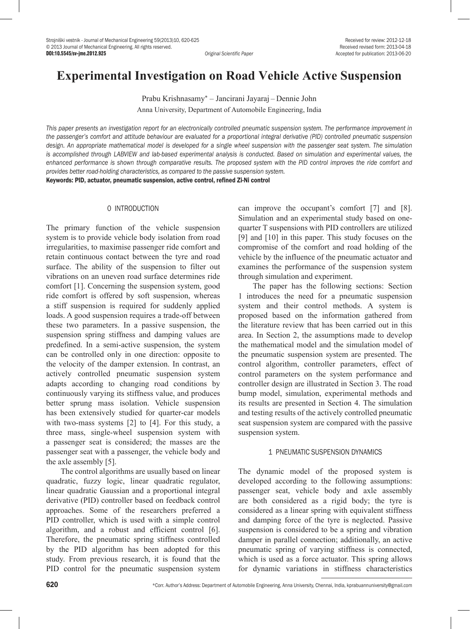# **Experimental Investigation on Road Vehicle Active Suspension**

Prabu Krishnasamy\* – Jancirani Jayaraj – Dennie John Anna University, Department of Automobile Engineering, India

*This paper presents an investigation report for an electronically controlled pneumatic suspension system. The performance improvement in the passenger's comfort and attitude behaviour are evaluated for a proportional integral derivative (PID) controlled pneumatic suspension design. An appropriate mathematical model is developed for a single wheel suspension with the passenger seat system. The simulation is accomplished through LABVIEW and lab-based experimental analysis is conducted. Based on simulation and experimental values, the enhanced performance is shown through comparative results. The proposed system with the PID control improves the ride comfort and provides better road-holding characteristics, as compared to the passive suspension system.*

Keywords: PID, actuator, pneumatic suspension, active control, refined Zi-Ni control

## 0 INTRODUCTION

The primary function of the vehicle suspension system is to provide vehicle body isolation from road irregularities, to maximise passenger ride comfort and retain continuous contact between the tyre and road surface. The ability of the suspension to filter out vibrations on an uneven road surface determines ride comfort [1]. Concerning the suspension system, good ride comfort is offered by soft suspension, whereas a stiff suspension is required for suddenly applied loads. A good suspension requires a trade-off between these two parameters. In a passive suspension, the suspension spring stiffness and damping values are predefined. In a semi-active suspension, the system can be controlled only in one direction: opposite to the velocity of the damper extension. In contrast, an actively controlled pneumatic suspension system adapts according to changing road conditions by continuously varying its stiffness value, and produces better sprung mass isolation. Vehicle suspension has been extensively studied for quarter-car models with two-mass systems [2] to [4]. For this study, a three mass, single-wheel suspension system with a passenger seat is considered; the masses are the passenger seat with a passenger, the vehicle body and the axle assembly [5].

The control algorithms are usually based on linear quadratic, fuzzy logic, linear quadratic regulator, linear quadratic Gaussian and a proportional integral derivative (PID) controller based on feedback control approaches. Some of the researchers preferred a PID controller, which is used with a simple control algorithm, and a robust and efficient control [6]. Therefore, the pneumatic spring stiffness controlled by the PID algorithm has been adopted for this study. From previous research, it is found that the PID control for the pneumatic suspension system can improve the occupant's comfort [7] and [8]. Simulation and an experimental study based on onequarter T suspensions with PID controllers are utilized [9] and [10] in this paper. This study focuses on the compromise of the comfort and road holding of the vehicle by the influence of the pneumatic actuator and examines the performance of the suspension system through simulation and experiment.

The paper has the following sections: Section 1 introduces the need for a pneumatic suspension system and their control methods. A system is proposed based on the information gathered from the literature review that has been carried out in this area. In Section 2, the assumptions made to develop the mathematical model and the simulation model of the pneumatic suspension system are presented. The control algorithm, controller parameters, effect of control parameters on the system performance and controller design are illustrated in Section 3. The road bump model, simulation, experimental methods and its results are presented in Section 4. The simulation and testing results of the actively controlled pneumatic seat suspension system are compared with the passive suspension system.

#### 1 PNEUMATIC SUSPENSION DYNAMICS

The dynamic model of the proposed system is developed according to the following assumptions: passenger seat, vehicle body and axle assembly are both considered as a rigid body; the tyre is considered as a linear spring with equivalent stiffness and damping force of the tyre is neglected. Passive suspension is considered to be a spring and vibration damper in parallel connection; additionally, an active pneumatic spring of varying stiffness is connected, which is used as a force actuator. This spring allows for dynamic variations in stiffness characteristics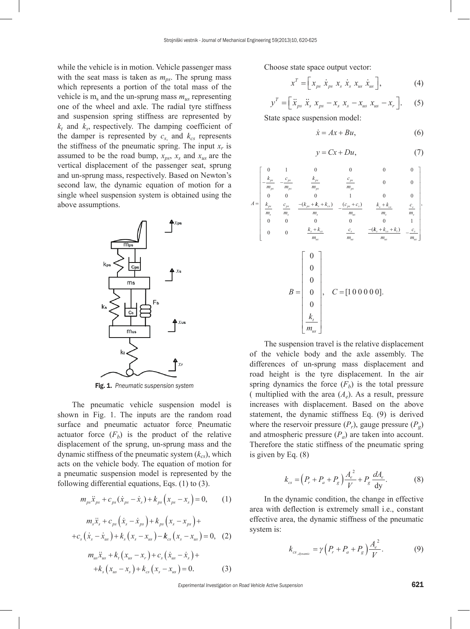while the vehicle is in motion. Vehicle passenger mass with the seat mass is taken as  $m_{ns}$ . The sprung mass which represents a portion of the total mass of the vehicle is  $m_s$  and the un-sprung mass  $m_{us}$  representing one of the wheel and axle. The radial tyre stiffness and suspension spring stiffness are represented by  $k_t$  and  $k_s$ , respectively. The damping coefficient of the damper is represented by  $c_{s}$ , and  $k_{cs}$  represents the stiffness of the pneumatic spring. The input  $x_r$  is assumed to be the road bump,  $x_{ps}$ ,  $x_s$  and  $x_{us}$  are the vertical displacement of the passenger seat, sprung and un-sprung mass, respectively. Based on Newton's second law, the dynamic equation of motion for a single wheel suspension system is obtained using the above assumptions.



Fig. 1. *Pneumatic suspension system*

The pneumatic vehicle suspension model is shown in Fig. 1. The inputs are the random road surface and pneumatic actuator force Pneumatic actuator force  $(F_b)$  is the product of the relative displacement of the sprung, un-sprung mass and the dynamic stiffness of the pneumatic system  $(k_{cs})$ , which acts on the vehicle body. The equation of motion for a pneumatic suspension model is represented by the following differential equations, Eqs. (1) to (3).

$$
m_{ps}\ddot{x}_{ps} + c_{ps}(\dot{x}_{ps} - \dot{x}_s) + k_{ps}(x_{ps} - x_s) = 0, \qquad (1)
$$

$$
m_{s}\ddot{x}_{s} + c_{ps}(\dot{x}_{s} - \dot{x}_{ps}) + k_{ps}(x_{s} - x_{ps}) +
$$
  
+
$$
c_{s}(\dot{x}_{s} - \dot{x}_{us}) + k_{s}(x_{s} - x_{us}) - k_{cs}(x_{s} - x_{us}) = 0, (2)
$$

$$
m_{us}\ddot{x}_{us} + k_t(x_{us} - x_r) + c_s(\dot{x}_{us} - \dot{x}_s) ++k_s(x_{us} - x_s) + k_{cs}(x_s - x_{us}) = 0.
$$
 (3)

Choose state space output vector:

$$
x^T = \left[x_{ps} \dot{x}_{ps} \dot{x}_s \dot{x}_s x_{us} \dot{x}_{us}\right],
$$
 (4)

$$
y^{T} = \left[\ddot{x}_{ps} \ddot{x}_{s} x_{ps} - x_{s} x_{s} - x_{us} x_{us} - x_{r}\right].
$$
 (5)

State space suspension model:

$$
\dot{x} = Ax + Bu,\tag{6}
$$

$$
y = Cx + Du,\tag{7}
$$

*A k m c m k m c m k m c m k ps ps ps ps ps ps ps ps s ps s ps* = − − − + 0 1 0 0 0 0 0 0 0 0 0 1 0 0 ( *k k m c c m k k m c m k k m c m s cs s ps s us s cs s s s s cs us s us* <sup>+</sup> <sup>−</sup> <sup>+</sup> <sup>+</sup> + − ) ( ) ( 0 0 0 0 0 1 0 0 *k k <sup>k</sup> m c m s cs t us s us* + + <sup>−</sup> ) , *B k m us C t* = = 0 0 0 0 0 , [1 00000].

The suspension travel is the relative displacement of the vehicle body and the axle assembly. The differences of un-sprung mass displacement and road height is the tyre displacement. In the air spring dynamics the force  $(F_b)$  is the total pressure ( multiplied with the area  $(A_e)$ ). As a result, pressure increases with displacement. Based on the above statement, the dynamic stiffness Eq. (9) is derived where the reservoir pressure  $(P_r)$ , gauge pressure  $(P_g)$ and atmospheric pressure  $(P_a)$  are taken into account. Therefore the static stiffness of the pneumatic spring is given by Eq. (8)

$$
k_{cs} = \left(P_r + P_a + P_g\right)\frac{A_e^2}{V} + P_g\frac{dA_e}{dy}.\tag{8}
$$

In the dynamic condition, the change in effective area with deflection is extremely small i.e., constant effective area, the dynamic stiffness of the pneumatic system is:

$$
k_{cs_{\text{dynamic}}} = \gamma \left( P_r + P_a + P_g \right) \frac{A_e^2}{V}.
$$
 (9)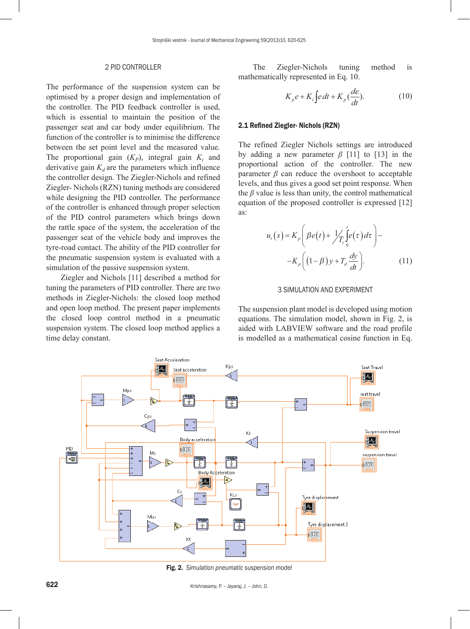#### 2 PID CONTROLLER

The performance of the suspension system can be optimised by a proper design and implementation of the controller. The PID feedback controller is used, which is essential to maintain the position of the passenger seat and car body under equilibrium. The function of the controller is to minimise the difference between the set point level and the measured value. The proportional gain  $(K_P)$ , integral gain  $K_i$  and derivative gain  $K_d$  are the parameters which influence the controller design. The Ziegler-Nichols and refined Ziegler- Nichols (RZN) tuning methods are considered while designing the PID controller. The performance of the controller is enhanced through proper selection of the PID control parameters which brings down the rattle space of the system, the acceleration of the passenger seat of the vehicle body and improves the tyre-road contact. The ability of the PID controller for the pneumatic suspension system is evaluated with a simulation of the passive suspension system.

Ziegler and Nichols [11] described a method for tuning the parameters of PID controller. There are two methods in Ziegler-Nichols: the closed loop method and open loop method. The present paper implements the closed loop control method in a pneumatic suspension system. The closed loop method applies a time delay constant.

The Ziegler-Nichols tuning method is mathematically represented in Eq. 10.

$$
K_{p}e + K_{i}\int e dt + K_{p}\left(\frac{de}{dt}\right).
$$
 (10)

#### 2.1 Refined Ziegler- Nichols (RZN)

The refined Ziegler Nichols settings are introduced by adding a new parameter  $\beta$  [11] to [13] in the proportional action of the controller. The new parameter  $\beta$  can reduce the overshoot to acceptable levels, and thus gives a good set point response. When the *β* value is less than unity, the control mathematical equation of the proposed controller is expressed [12] as:

$$
u_t(s) = K_p \left( \beta e(t) + \frac{1}{T_t} \int_0^t e(\tau) d\tau \right) - K_p \left( (1 - \beta) y + T_d \frac{dy}{dt} \right).
$$
 (11)

#### 3 SIMULATION AND EXPERIMENT

The suspension plant model is developed using motion equations. The simulation model, shown in Fig. 2, is aided with LABVIEW software and the road profile is modelled as a mathematical cosine function in Eq.



Fig. 2. *Simulation pneumatic suspension model*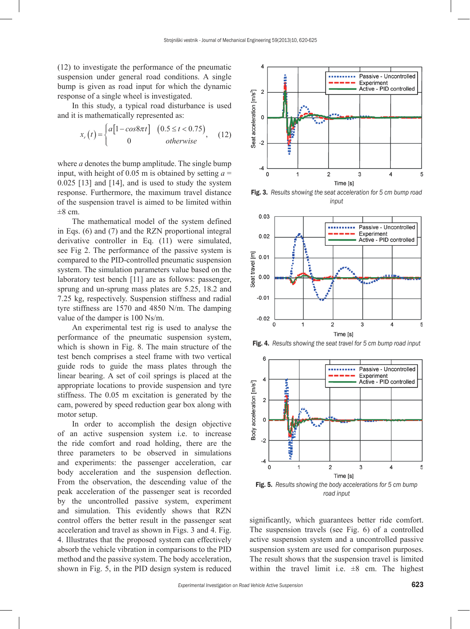(12) to investigate the performance of the pneumatic suspension under general road conditions. A single bump is given as road input for which the dynamic response of a single wheel is investigated.

In this study, a typical road disturbance is used and it is mathematically represented as:

$$
x_r(t) = \begin{cases} a[1 - \cos 8\pi t] & (0.5 \le t < 0.75) \\ 0 & \text{otherwise} \end{cases}, \quad (12)
$$

where *a* denotes the bump amplitude. The single bump input, with height of 0.05 m is obtained by setting  $a =$ 0.025 [13] and [14], and is used to study the system response. Furthermore, the maximum travel distance of the suspension travel is aimed to be limited within  $\pm 8$  cm.

The mathematical model of the system defined in Eqs. (6) and (7) and the RZN proportional integral derivative controller in Eq. (11) were simulated, see Fig 2. The performance of the passive system is compared to the PID-controlled pneumatic suspension system. The simulation parameters value based on the laboratory test bench [11] are as follows: passenger, sprung and un-sprung mass plates are 5.25, 18.2 and 7.25 kg, respectively. Suspension stiffness and radial tyre stiffness are 1570 and 4850 N/m. The damping value of the damper is 100 Ns/m.

An experimental test rig is used to analyse the performance of the pneumatic suspension system, which is shown in Fig. 8. The main structure of the test bench comprises a steel frame with two vertical guide rods to guide the mass plates through the linear bearing. A set of coil springs is placed at the appropriate locations to provide suspension and tyre stiffness. The 0.05 m excitation is generated by the cam, powered by speed reduction gear box along with motor setup.

In order to accomplish the design objective of an active suspension system i.e. to increase the ride comfort and road holding, there are the three parameters to be observed in simulations and experiments: the passenger acceleration, car body acceleration and the suspension deflection. From the observation, the descending value of the peak acceleration of the passenger seat is recorded by the uncontrolled passive system, experiment and simulation. This evidently shows that RZN control offers the better result in the passenger seat acceleration and travel as shown in Figs. 3 and 4. Fig. 4. Illustrates that the proposed system can effectively absorb the vehicle vibration in comparisons to the PID method and the passive system. The body acceleration, shown in Fig. 5, in the PID design system is reduced



Fig. 3. *Results showing the seat acceleration for 5 cm bump road input*



Fig. 4. *Results showing the seat travel for 5 cm bump road input*



*road input*

significantly, which guarantees better ride comfort. The suspension travels (see Fig. 6) of a controlled active suspension system and a uncontrolled passive suspension system are used for comparison purposes. The result shows that the suspension travel is limited within the travel limit i.e.  $\pm 8$  cm. The highest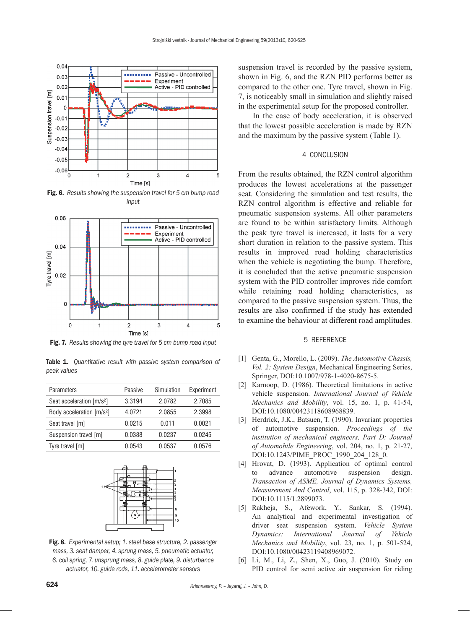

Fig. 6. *Results showing the suspension travel for 5 cm bump road input*



Fig. 7. *Results showing the tyre travel for 5 cm bump road input*

|             | <b>Table 1.</b> Quantitative result with passive system comparison of |  |  |  |
|-------------|-----------------------------------------------------------------------|--|--|--|
| peak values |                                                                       |  |  |  |

| Parameters                            | Passive | Simulation | Experiment |  |
|---------------------------------------|---------|------------|------------|--|
| Seat acceleration [m/s <sup>2</sup> ] | 3.3194  | 2.0782     | 2.7085     |  |
| Body acceleration [m/s <sup>2</sup> ] | 4.0721  | 2.0855     | 2.3998     |  |
| Seat travel [m]                       | 0.0215  | 0.011      | 0.0021     |  |
| Suspension travel [m]                 | 0.0388  | 0.0237     | 0.0245     |  |
| Tyre travel [m]                       | 0.0543  | 0.0537     | 0.0576     |  |



Fig. 8. *Experimental setup; 1. steel base structure, 2. passenger mass, 3. seat damper, 4. sprung mass, 5. pneumatic actuator, 6. coil spring, 7. unsprung mass, 8. guide plate, 9. disturbance actuator, 10. guide rods, 11. accelerometer sensors*

suspension travel is recorded by the passive system, shown in Fig. 6, and the RZN PID performs better as compared to the other one. Tyre travel, shown in Fig. 7, is noticeably small in simulation and slightly raised in the experimental setup for the proposed controller.

In the case of body acceleration, it is observed that the lowest possible acceleration is made by RZN and the maximum by the passive system (Table 1).

### 4 CONCLUSION

From the results obtained, the RZN control algorithm produces the lowest accelerations at the passenger seat. Considering the simulation and test results, the RZN control algorithm is effective and reliable for pneumatic suspension systems. All other parameters are found to be within satisfactory limits. Although the peak tyre travel is increased, it lasts for a very short duration in relation to the passive system. This results in improved road holding characteristics when the vehicle is negotiating the bump. Therefore, it is concluded that the active pneumatic suspension system with the PID controller improves ride comfort while retaining road holding characteristics, as compared to the passive suspension system. Thus, the results are also confirmed if the study has extended to examine the behaviour at different road amplitudes.

## 5 REFERENCE

- [1] Genta, G., Morello, L. (2009). *The Automotive Chassis, Vol. 2: System Design*, Mechanical Engineering Series, Springer, [DOI:10.1007/978-1-4020-8675-5.](http://dx.doi.org/10.1007/978-1-4020-8675-5)
- [2] Karnoop, D. (1986). Theoretical limitations in active vehicle suspension. *International Journal of Vehicle Mechanics and Mobility*, vol. 15, no. 1, p. 41-54, [DOI:10.1080/00423118608968839](http://dx.doi.org/10.1080/00423118608968839).
- [3] Herdrick, J.K., Batsuen, T. (1990). Invariant properties of automotive suspension. *Proceedings of the institution of mechanical engineers, Part D: Journal of Automobile Engineering*, vol. 204, no. 1, p. 21-27, DOI:10.1243/PIME\_PROC\_1990\_204\_128\_0.
- [4] Hrovat, D. (1993). Application of optimal control to advance automotive suspension design. *Transaction of ASME, Journal of Dynamics Systems, Measurement And Control*, vol. 115, p. 328-342, [DOI:](http://dx.doi.org/10.1115/1.2899073)  [DOI:10.1115/1.2899073.](http://dx.doi.org/10.1115/1.2899073)
- [5] Rakheja, S., Afework, Y., Sankar, S. (1994). An analytical and experimental investigation of driver seat suspension system. *Vehicle System Dynamics: International Journal of Vehicle Mechanics and Mobility*, vol. 23, no. 1, p. 501-524, [DOI:10.1080/00423119408969072](http://dx.doi.org/10.1080/00423119408969072).
- [6] Li, M., Li, Z., Shen, X., Guo, J. (2010). Study on PID control for semi active air suspension for riding